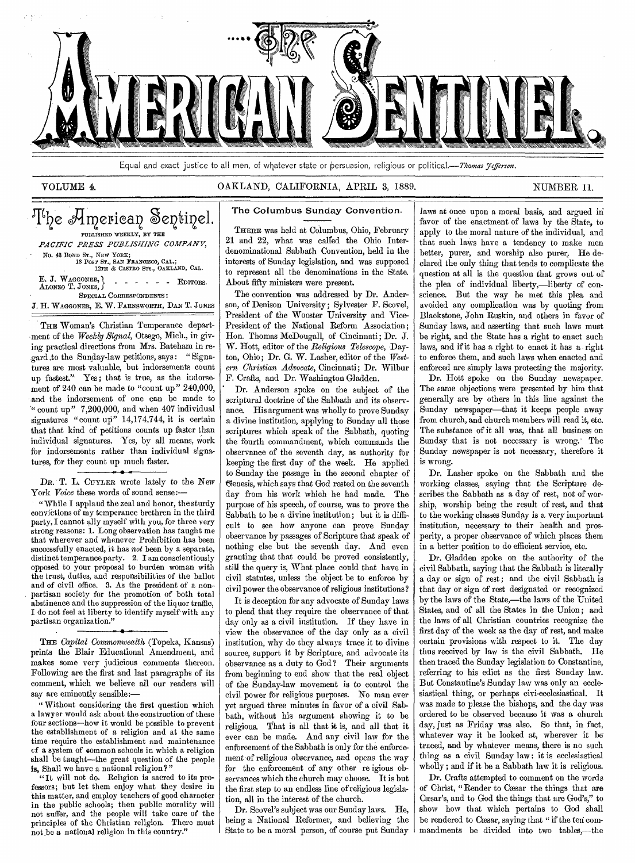

Equal and exact justice to all men, of whatever state or persuasion, religious or political.— Thomas *Jefferson*.

# VOLUME 4. OAKLAND, CALIFORNIA, APRIL 3, 1889. NUMBER 11.

# The American Sentinel. PUBLISHED WEEKLY, BY THE *PACIFIC PRESS PUBLISHING COMPANY,*  No. 43 BOND ST., NEW YORK; 18 POST ST., SAN FRANCISCO, CAL.; 12TH & CASTRO STS., OAKLAND, CAL. E. J. WAGGONER, ALONZO T. JONES, SPECIAL CORRESPONDENTS: J. H. WAGGONER, E. W. FARNSWORTH, DAN T. JONES EDITORS.

THE Woman's Christian Temperance department of the *Weekly Signal,* Otsego, Mich., in giving practical directions from Mrs. Bateham in regard to the Sunday-law petitions, says: " Signatures are most valuable, but indorsements count up fastest." Yes; that is true, as the indorsement of 240 can be made to "count up" 240,000, and the indorsement of one can be made to '" count up" 7,200,000, and when 407 individual signatures "count up" 14,174,744, it is certain that that kind of petitions counts up faster than individual signatures. Yes, by all means, work for indorsements rather than individual signatures, for they count up much faster.

• DR. T. L. CUYLER wrote lately to the New York *Voice* these words of sound sense:-

" While I applaud the zeal and honor, the sturdy convictions of my temperance brethren in the third party, I cannot ally myself with you, for three very strong reasons: 1. Long observation has taught me that wherever and whenever Prohibition has been successfully enacted, it has *not* been by a separate, distinct temperance party. 2. I am conscientiously opposed to your proposal to burden woman with the trust, duties, and responsibilities of the ballot and of civil office. 3. As the president of a nonpartisan society for the promotion of both total abstinence and the suppression of the liquor traffic, I do not feel at liberty to identify myself with any partisan organization."

THE *Capital Commonwealth* (Topeka, Kansas) prints the Blair Educational Amendment, and makes some very judicious comments thereon. Following are the first and last paragraphs of its comment, which we believe all our readers will say are eminently sensible:—

" Without considering the first question which a lawyer would ask about the construction of these four sections—how it would be possible to prevent the establishment of a religion and at the same time require the establishment and maintenance cf a system of common schools in which a religion shall be taught—the great question of the people is, Shall we have a national religion?"

"It will not do. Religion is sacred to its professors; but let them enjoy what they desire in this matter, and employ teachers of good character in the public schools; then public morality will not suffer, and the people will take care of the principles of the Christian religion. There must not be a national religion in this country."

# The Columbus Sunday Convention.

THERE was held at Columbus, Ohio, February 21 and 22, what was called the Ohio Interdenominational Sabbath Convention, held in the interests of Sunday legislation, and was supposed to represent all the denominations in the State. About fifty ministers were present.

The convention was addressed by Dr. Anderson, of Denison University; Sylvester F. Scovel, President of the Wooster University and Vice-President of the National Reform Association; Hon. Thomas McDougall, of Cincinnati; Dr. J. W. Hott, editor of the *Religious Telescope,* Dayton, Ohio; Dr. G. W. Lasher, editor of the *Western Christian Advocate,* Cincinnati; Dr. Wilbur F. Crafts, and Dr. Washington Gladden.

Dr. Anderson spoke on the subject of the scriptural doctrine of the Sabbath and its observance. His argument was wholly to prove Sunday a divine institution, applying to Sunday all those scriptures which speak of the Sabbath, quoting the fourth commandment, which commands the observance of the seventh day, as authority for keeping the first day of the week. He applied to Sunday the passage in the second chapter of genesis, which says that God rested on the seventh day from his work which he had made. The purpose of his speech, of course, was to prove the Sabbath to be a divine institution; but it is difficult to see how anyone can prove Sunday observance by passages of Scripture that speak of nothing else but the seventh day. And even granting that that could be proved consistently, still the query is, What place could that have in civil statutes, unless the object be to enforce by civil power the observance of religious institutions ?

It is deception for any advocate of Sunday laws to plead that they require the observance of that day only as a civil institution. If they have in view the observance of the day only as a civil institution, why do they always trace it to divine source, support it by Scripture, and advocate its observance as a duty to God ? Their arguments from beginning to end show that the real object of the Sunday-law movement is to control the civil power for religious purposes. No man ever yet argued three minutes in favor of a civil Sabbath, without his argument showing it to be religious. That is all that it is, and all that it ever can be made. And any civil law for the enforcement of the Sabbath is only for the enforcement of religious observance, and opens the way for the enforcement of any other re igious observances which the church may choose. It is but the first step to an endless line of religious legislation, all in the interest of the church.

Dr. Scovel's subject was our Sunday laws. He, being a National Reformer, and believing the State to be a moral person, of course put Sunday

laws at once upon a moral basis, and argued in favor of the enactment of laws by the State, to apply to the moral nature of the individual, and that such laws have a tendency to make men better, purer, and worship also purer. He declared the only thing that tends to complicate the question at all is the question that grows out of the plea of individual liberty,—liberty of conscience. But the way he met this plea and avoided any complication was by quoting from Blackstone, John Ruskin, and others in favor of Sunday laws, and asserting that such laws must be right, and the State has a right to enact such laws, and if it has a right to enact it has a right to enforce them, and such laws when enacted and enforced are simply laws protecting the majority.

Dr. Hott spoke on the Sunday newspaper. The same objections were presented by him that generally are by others in this line against the Sunday newspaper—that it keeps people away from church, and church members will read it, etc. The substance of it all was, that all business on Sunday that is not necessary is wrong.' The Sunday newspaper is not necessary, therefore it is wrong.

Dr. Lasher spoke on the Sabbath and the working classes, *saying* that the Scripture describes the Sabbath as a day of rest, not of worship, worship being the result of rest, and that to the working classes Sunday is a very important institution, necessary to their health and prosperity, a proper observance of which places them in a better position to do efficient service, etc.

Dr. Gladden spoke on the authority of the civil Sabbath, saying that the Sabbath is literally a day or sign of rest; and the civil Sabbath is that day or sign of rest designated or recognized by the laws of the State,—the laws of the United States, and of all the States in the Union; and the laws of all Christian countries recognize the first day of the week as the day of rest, and make certain provisions with respect to it. The day thus received by law is the civil Sabbath. He then traced the Sunday legislation to Constantine, referring to his edict as the first Sunday law. But Constantine's Sunday law was only an ecclesiastical thing, or perhaps civi-ecclesiastical. It was made to please the bishops, and the day was ordered to be observed because it was a church day, just as Friday was also. So that, in fact, whatever way it be looked at, wherever it be traced, and by whatever means, there is no such thing as a civil Sunday law: it is ecclesiastical wholly; and if it be a Sabbath law it is religious.

Dr. Crafts attempted to comment on the words of Christ, "Render to Caesar the things that are Caasar's, and to God the things that are God's," to show how that which pertains to God shall be rendered to Cæsar, saying that " if the ten commandments be divided into two tables,—the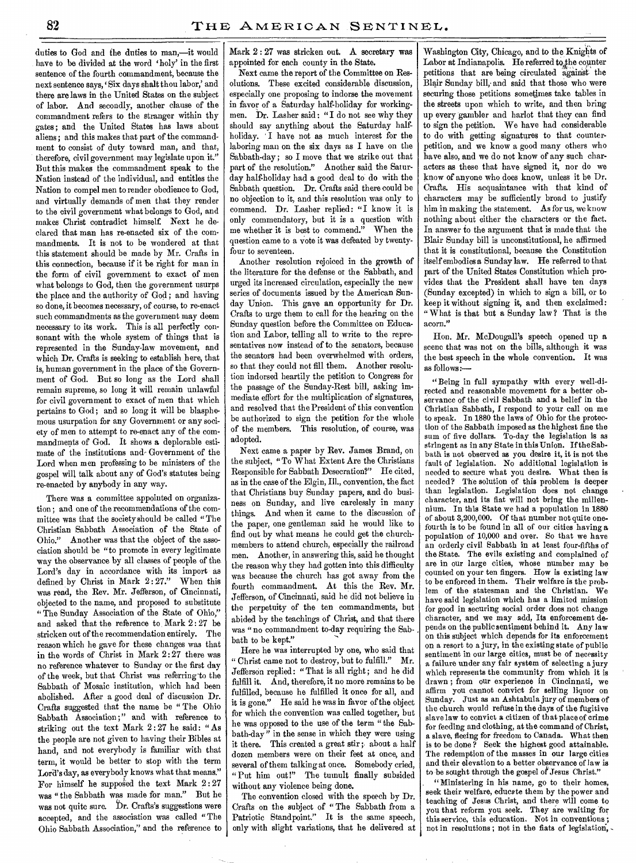duties to God and the duties to man,—it would have to be divided at the word 'holy' in the first sentence of the fourth commandment, because the next sentence says, 'Six days shalt thou labor,' and there are laws in the United States on the subject of labor. And secondly, another clause of the commandment refers to the stranger within thy gates ; and the United States has laws about aliens; and this makes that part of the commandment to consist of duty toward man, and that, therefore, civil government may legislate upon it." But this makes the commandment speak to the Nation instead of the individual, and entitles the Nation to compel men to render obedience to God, and virtually demands of men that they render to the civil government what belongs to God, and makes Christ contradict himself. Next he declared that man has re-enacted six of the commandments. It is not to be wondered at that this statement should be made by Mr. Crafts in this connection, because if it be right for man in the form of civil government to exact of men what belongs to God, then the government usurps the place and the authority of God; and having so done, it becomes necessary, of course, to re-enact such commandments as the government may deem necessary to its work. This is all perfectly consonant with the whole system of things that is represented in the Sunday-law movement, and which Dr. Crafts is seeking to establish here, that is, human government in the place of the Government of God. But so long as the Lord shall remain supreme, so long it will remain unlawful for civil government to exact of men that which pertains to God; and so long it will be blasphemous usurpation for any Government or any society of men to attempt to re-enact any of the commandments of God. It shows a deplorable estimate of the institutions and- Government of the Lord when men professing to be ministers of the gospel will talk about any of God's statutes being re-enacted by anybody in any way.

There was a committee appointed on organization ; and one of the recommendations of the committee was that the society should be called "The Christian Sabbath Association of the State of Ohio." Another was that the object of the association should be "to promote in every legitimate way the observance by all classes of people of the. Lord's day in accordance with its import as defined by Christ in Mark 2: 27." When this was read, the Rev. Mr. Jefferson, of Cincinnati, objected to the name, and proposed to substitute " The Sunday Association of the State of Ohio," and asked that the reference to Mark 2:27 be stricken out of the recommendation entirely. The reason which he gave for these changes was that in the words of Christ in Mark 2:27 there was no reference whatever to Sunday or the first day of the week, but that Christ was referring 'to the Sabbath of Mosaic institution, which had been abolished. After a good deal of discussion Dr. Crafts suggested that the name be " The Ohio Sabbath Association;" and with reference to striking out the text Mark 2 : 27 he said: "As the people are not given to having their Bibles at hand, and not everybody is familiar with that term, it would be better to stop with the term Lord's day, as everybody knows what that means." For himself he supposed the text Mark  $2:27$ was " the Sabbath was made for man." But he was not quite sure. Dr. Crafts's suggestions were accepted, and the association was called "The Ohio Sabbath Association," and the reference to

Mark 2 : 27 was stricken out. A secretary was appointed for each county in the State.

Next came the report of the Committee on Resolutions. These excited considerable discussion, especially one proposing to indorse the movement in favor of a Saturday half-holiday for workingmen. Dr. Lasher said : " I do not see why they should say anything about the Saturday halfholiday. I have not as much interest for the laboring man on the six days as I have on the Sabbath-day ; so I move that we strike out that part of the resolution." Another said the Saturday half-holiday had a good deal to do with the Sabbath question. Dr. Crafts said there could be no objection to it, and this resolution was only to commend. Dr. Lasher replied: "I know it is only commendatory, but it is a question with me whether it is best to commend." When the question came to a vote it was defeated by twentyfour to seventeen.

Another resolution rejoiced in the growth of the literature for the defense or the Sabbath, and urged its increased circulation, especially the new series of documents issued by the American Sunday Union. This gave an opportunity for Dr. Crafts to urge them to call for the hearing on the Sunday question before the Committee on Education and Labor, telling all to write to the representatives now instead of to the senators, because the senators had been overwhelmed with orders, so that they could not fill them. Another resolution indorsed heartily the petition to Congress for the passage of the Sunday-Rest bill, asking immediate effort for the multiplication of signatures, and resolved that the President of this convention be authorized to sign the petition for the whole of the members. This resolution, of course, was adopted.

Next came a paper by Rev. James Brand, on the subject, "To What Extent Are the Christians Responsible for Sabbath Desecration?" He cited, as in the case of the Elgin, Ill., convention, the fact that Christians buy Sunday papers, and do business on Sunday, and live carelessly in many things. And when it came to the discussion of the paper, one gentleman said he would like to find out by what means he could get the churchmembers to attend church, especially the railroad men. Another, in answering this, said he thought the reason why they had gotten into this difficulty was because the church has got away from the fourth commandment. At this the Rev. Mr. Jefferson, of Cincinnati, said he did not believe in the perpetuity of the ten commandments, but abided by the teachings of Christ, and that there was " no commandment to-day requiring the Sabbath to be kept."

Here he was interrupted by one, who said that " Christ came not to destroy, but to fulfill." Mr. Jefferson replied: " That is all right ; and he did fulfill it. And, therefore, it no more remains to be fulfilled, because he fulfilled it once for all, and it is gone." He said he was in favor of the object for which the convention was called together, but he was opposed to the use of the term " the Sabbath-day" in the sense in which they were using it there. This created a great stir; about a half dozen members were on their feet at once, and several of them talking at once. Somebody cried, " Put him out!" The tumult finally subsided without any violence being done.

The convention closed with the speech by Dr. Crafts on the subject of "The Sabbath from a Patriotic Standpoint." It is the same speech, only with slight variations, that he delivered at

Washington City, Chicago, and to the Knights of Labor at Indianapolis. He referred to the counter petitions that are being circulated against the Blair Sunday bill, and said that those who were securing those petitions sometimes take tables in the streets upon which to write, and then bring up every gambler and harlot that they can find to sign the petition. We have had considerable to do with getting signatures to that counterpetition, and we know a good many others who have also, and we do not know of any such characters as these that have signed it, nor do we know of anyone who does know, unless it be Dr. Crafts. His acquaintance with that kind of characters may be sufficiently broad to justify him in making the statement. As for us, we know nothing about either the characters or the fact. In answer to the argument that is made that the Blair Sunday bill is unconstitutional, he affirmed that it is constitutional, because the Constitution itself embodies a Sunday law. He referred to that part of the United States Constitution which provides that the President shall have ten days (Sunday excepted) in which to sign a bill, or to keep it without signing it, and then exclaimed: " What is that but a Sunday law? That is the acorn."

Hon. Mr. McDougall's speech opened up a scene that was not on the bills, although it was the best speech in the whole convention. It was as follows:—

" Being in full sympathy with every well-directed and reasonable movement for a better observance of the civil Sabbath and a belief in the Christian Sabbath, I respond to your call on me to speak. In 1880 the laws of Ohio for the protection of the Sabbath imposed as the highest fine the sum of five dollars. To-day the legislation is as stringent as in any State in this Union. If the Sabbath is not observed as you desire it, it is not the fault of legislation. No additional legislation is needed to secure what you desire. What then is needed? The solution of this problem is deeper than legislation. Legislation does not change character, and its fiat will not bring the millennium. In this State we had a population in 1880 of about 3,200,000. Of that number not quite onefourth is to be found in all of our cities having a population of 10,000 and over. So that we have an orderly civil Sabbath in at least four-fifths of the State. The evils existing and complained of are in our large cities, whose number may be counted on your ten fingers. How is existing law to be enforced in them. Their welfare is the problem of the statesman and the Christian. We have said legislation which has a limited mission for good in securing social order does not change character, and we may add, Its enforcement depends on the public sentiment behind it. Any law on this subject which depends for its enforcement on a resort to a jury, in the existing state of public sentiment in our large cities, must be of necessity a failure under any fair system of selecting a jury which represents the community from which it is drawn ; from our experience in Cincinnati, we affirm you cannot convict for selling liquor on Sunday. Just as an Ashtabula jury of members of the church would refuse in the days of the fugitive slave law to convict a citizen of that place of crime for feeding and clothing, at the command of Christ, a slave, fleeing for freedom to Canada. What then is to be done ? Seek the highest good attainable. The redemption of the masses in our large cities and their elevation to a better observance of law is to be sought through the gospel of Jesus Christ."

. "Ministering in his name, go to their homes, seek their welfare, educate them by the power and teaching of Jesus Christ, and there will come to you that reform you seek. They are waiting for this service, this education. Not in conventions ; not in resolutions ; not in the fiats of legislation',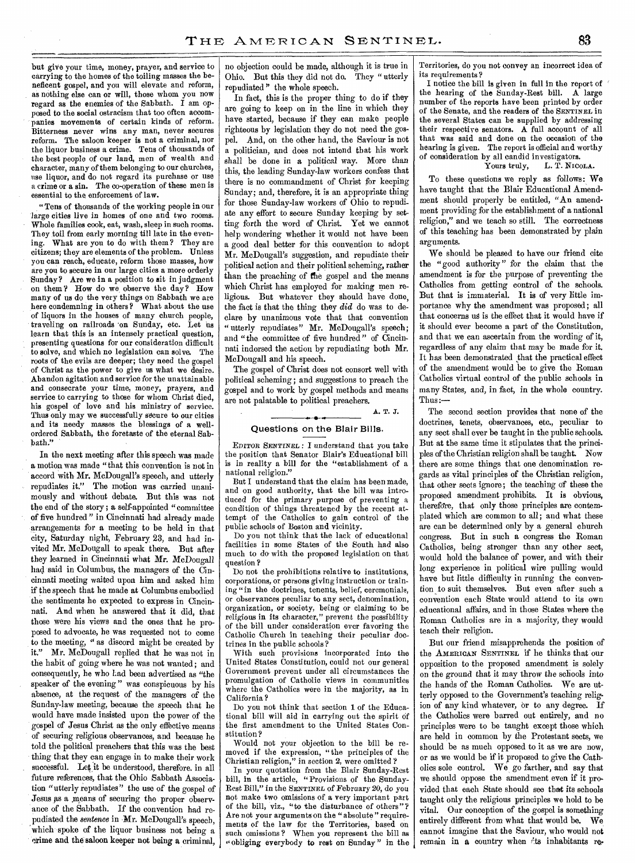but give your time, money, prayer, and service to carrying to the homes of the toiling masses the beneficent gospel, and you will elevate and reform, as nothing else can or will, those whom you now regard as the enemies of the Sabbath. I am opposed to the social ostracism that too often accompanies movements of certain kinds of reform. Bitterness never wins any man, never secures reform. The saloon keeper is not a criminal, nor the liquor business a crime. Tens of thousands of the best people of *our* land, men of wealth and character, many of them belonging to our churches, use liquor, and do not regard its purchase or use a *crime* or *a* sin. The co-operation of these men is essential to the enforcement of law.

"Tens of thousands of the working people in our large cities live in homes of one and two rooms. Whole families cook, eat, wash, sleep in such rooms. They toil from early morning till late in the evening. What are you to do with them? They are citizens; they are elements of the problem. Unless you can reach, educate, reform those masses, how are you to secure in our large cities a more orderly Sunday? Are we in a position to sit in judgment on them? How do we, observe the day? How many of us do the very things on Sabbath we are here condemning in others? What about the use of liquors in the houses of many church people, traveling on railroads 'on Sunday, etc. Let us learn that this is an intensely practical question, presenting questions for our consideration difficult to solve, and which no legislation can solve. The roots of the evils are deeper; they need the gospel of Christ as the power to give us what we desire. Abandon agitation and service for the unattainable and consecrate your time, money, prayers, and service to carrying to those for whom Christ died, his gospel of love and his ministry of service. Thus only may we successfully secure to our cities and its needy masses the blessings of a wellordered Sabbath, the foretaste of the eternal Sabbath."

In the next meeting after this speech was made a motion was made "that this convention is not in accord with Mr. McDougall's speech, and utterly repudiates it." The motion was carried unanimously and without debate. But this was not the end of the story; a self-appointed "committee of five hundred " in Cincinnati had already made arrangements for a meeting to be held in that city, Saturday night, February.23, and had invited Mr. McDougall to speak there. But after they learned in Cincinnati what Mr. McDougall had said in Columbus, the managers of the Cincinnati meeting waited upon him and asked him if the speech that he made at Columbus embodied the sentiments he expected to express in Cincinnati. And when he answered that it did, that those were his views and the ones that he proposed to advocate, he was requested not to come to the meeting, " as discord might be created by it." Mr. McDougall replied that he was not in the habit of going where he was not wanted; and consequently, he who Lad been advertised as "the speaker of the evening " was conspicuous by his absence, at the request of the managers of the Sunday-law meeting, because the speech that he would have made insisted upon the power of the gospel of Jesus Christ as the only effective means of securing religious observances, and because be told the political preachers that this was the best thing that they can engage in to make their work successful. Let it be understood, therefore. in all future references, that the Ohio Sabbath Association "utterly repudiates" the use of the gospel of Jesus as a means of securing the proper observance of the Sabbath. If the convention had repudiated the *sentence* in Mr. McDougall's speech, which spoke of the liquor business not being a crime and the saloon keeper not being a criminal, no objection could be made, although it is true in Ohio. But this they did not do. They " utterly repudiated " the whole speech.

In fact, this is the proper thing to do if they are going to keep on in the line in which they have started, because if they can make people righteous by legislation they do not need the gospel. And, on the other hand, the Saviour is not a politician, and does not intend that his work shall be done in a political way. More than this, the leading Sunday-law workers confess that there is no commandment of Christ for keeping Sunday; and, therefore, it is an appropriate thing for those Sunday-law workers of Ohio to repudiate any effort to secure Sunday keeping by setting forth the word of Christ. Yet we cannot help wondering whether it would not have been a good deal better for this convention to adopt Mr. McDougall's suggestion, and repudiate their political action and their political scheming, rather than the preaching of the gospel and the means which Christ has employed for making men religious. But whatever they should have done, the fact is that the thing they *did* do was to declare by unanimous vote that that convention " utterly repudiates" Mr. McDougall's speech; and "the committee of five hundred" of Cincinnati indorsed the action by repudiating both Mr. McDougall and his speech.

The gospel of Christ does not consort well with political scheming; and suggestions to preach the gospel and to work by gospel methods and means are not palatable to political preachers.

# **A. T. J.**

# Questions on the Blair Bills.

EDITOR *SENTINEL, :* I understand that you take the position that Senator Blair's Educational bill is in reality a bill for the "establishment of a national religion."

But I understand that the claim has been made, and on good authority, that the bill was introduced for the primary purpose of preventing a condition of things threatened by the recent attempt of the Catholics to gain control of the public schools of Boston and vicinity.

Do you not think that the lack of educational facilities in some States of the South had also much to do with the proposed legislation on that question ?

Do not the prohibitions relative to institutions, corporations, or persons giving instruction or training "in the doctrines, tenents, belief, ceremonials, or observances peculiar to any sect, denomination, organization, or society, being or claiming to be religious in its character," prevent the possibility of the bill under consideration ever favoring the Catholic Church in teaching their peculiar doctrines in the public schools ?

With such provisions incorporated into the United States Constitution, could not our general Government prevent under all circumstances the promulgation of Catholic views in communities where the Catholics were in the majority, as in California ?

Do you not think that section 1 of the Educational bill will aid in carrying out the spirit of the first amendment to the United States Constitution?

Would not your objection to the bill be removed if the expression, "the principles of the Christian religion," in section 2, were omitted ?

In your quotation from the Blair Sunday-Rest bill, in the article, "Provisions of the Sunday-Rest Bill," in the SENTINEL of February 20, do you not make two omissions of a very important part of the bill, viz., "to the disturbance of others"? Are not your arguments on the "absolute " requirements of the law for the Territories, based on such omissions ? When you represent the bill as "obliging everybody to rest on Sunday" in the

Territories, do you not convey an incorrect idea of its requirements?

I notice the bill is given in full in the report of the hearing of the Sunday-Rest bill. A large number of the reports have been printed by order of the Senate, and the readers of the SENTINEL in the several States can be supplied by addressing their respective senators. A full account of all that was said and done on the occasion of the hearing is given. The report is official and worthy of consideration by all candid investigators.

## Yours truly, L. T. NICOLA.

To these questions we reply as follows: We have taught that the Blair Educational Amendment should properly be entitled, "An amendment providing for the establishment of a national religion," and we teach so still. The correctness of this teaching has been demonstrated by plain arguments.

We should be pleased to have our friend cite the "good authority" for the claim that the amendment is for the purpose of preventing the Catholics from getting control of the schools. But that is immaterial. It is of very little importance why the amendment was proposed; all that concerns us is the effect that it would have if it should ever become a part of the Constitution, and that we can ascertain from the wording of it, regardless of any claim that may be made for it. It has been demonstrated that the practical effect of the amendment would be to give the Roman Catholics virtual control of the public schools in many States, and, in fact, in the whole country. Thus :—

The second section provides that none of the doctrines, tenets, observances, etc., peculiar to any sect shall ever be taught in the public schools. But at the same time it stipulates that the principles of the Christian religion shall be taught. Now there are some things that one denomination regards as vital principles of the Christian religion, that other sects ignore; the teaching of these the proposed amendment prohibits. It is obvious, therefore, that only those principles are contemplated which are common to all; and what these are can be determined only by a general church congress. But in such a congress the Roman Catholics, being stronger than any other sect, would hold the balance of power, and with their long experience in political wire pulling would have but little difficulty in running the convention to suit themselves. But even after such a convention each State would attend to its own educational affairs, and in those States where the Roman Catholics are in a majority, they would teach their religion.

But our friend misapprehends the position of the AMERICAN SENTINEL if he thinks that our opposition to the proposed amendment is solely on the ground that it may throw the schools into the hands of the Roman Catholics. We are utterly opposed to the Government's teaching religion of any kind whatever, or to any degree. If the Catholics were barred out entirely, and no principles were to be taught except those which are held in common by the Protestant sects, we should be as much opposed to it as we are now, or as we would be if it proposed to give the Catholics sole control. We go farther, and say that we should oppose the amendment even if it provided that each State should see that its schools taught only the religious principles we hold to be vital. Our conception of the gospel is something entirely different from what that would be. We cannot imagine that the Saviour, who would not remain in a country when its inhabitants re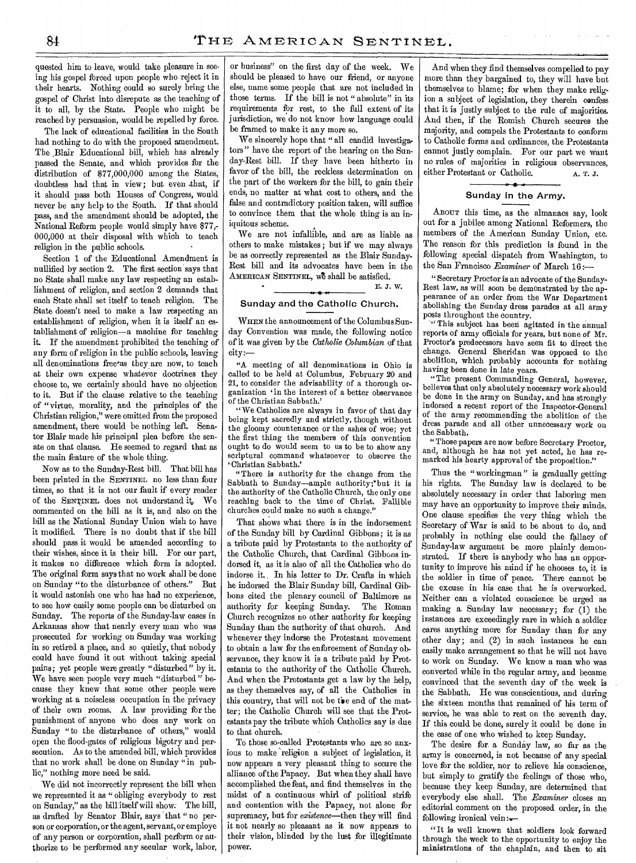quested him to leave, would take pleasure in seeing his gospel forced upon people who reject it in their hearts. Nothing could so surely bring the gospel of Christ into disrepute as the teaching of it to all, by the State. People who might be reached by persuasion, would be repelled by force.

The lack of educational facilities in the South had nothing to do with the proposed amendment. The Blair Educational bill, which has already passed the Senate, and which provides for the distribution of \$77,000,000 among the States, doubtless had that in view; but even .that, if it should pass both Houses of Congress, would never be any help to the South. If that should pass, and the amendment should be adopted, the National Reform people would simply have \$77,- 000,000 at their disposal with which to teach religion in the public schools.

Section 1 of the Educational Amendment is nullified by section 2. The first section says that no State shall make any law respecting an establishment of religion, and section 2 demands that each State shall set itself to teach religion. The State doesn't need to make a law respecting an establishment of religion, when it is itself an establishment of religion—a machine for teaching it. If the amendment prohibited the teaching of any form of religion in the public schools, leaving all denominations free as they are now, to teach at their own expense whatever doctrines they choose to, we certainly should have no objection to it. But if the clause relative to the teaching of "virtue, morality, and the principles of the Christian religion," were omitted from the proposed amendment, there would be nothing left. Senator Blair made his principal plea before the senate on that clause. He seemed to regard that as the main feature of the whole thing.

Now as to the Sunday-Rest bill. That bill has been printed in the SENTINEL no less than four times, so that it is not our fault if every reader of the SENTINEL does not understand it. commented on the bill as it is, and also on the bill as the National Sunday Union wish to have it modified. There is no doubt that if the bill should pass it would be amended according to their wishes, since it is their bill. For our part, it makes no difference which form is adopted. The original form says that no work shall be done on Sunday "to the disturbance of others." But it would astonish one who has had no experience, to see how easily some people can be disturbed on Sunday. The reports of the Sunday-law cases in Arkansas show that nearly every man who was prosecuted for working on Sunday was working in so retired a place, and so quietly, that nobody could have found it out without taking special pains; yet people were greatly "disturbed" by it. We have seen people very much "disturbed" because they knew that some other people were working at a noiseless occupation in the privacy of their own rooms. A law providing for the punishment of anyone who does any work on Sunday "to the disturbance of others," would open the flood-gates of religious bigotry and persecution. As to the amended bill, which provides that no work shall be done on Sunday "in public," nothing more need be said.

We did not incorrectly represent the bill when we represented it as "obliging everybody to rest on Sunday," as the bill itself will show. The bill, as drafted by Senator Blair, says that " no person or corporation, or the agent, servant, or employe of any person or corporation, shall perform or authorize to be performed any secular work, labor, or business" on the first day of the week. We should be pleased to have our friend, or anyone else, name some people that are not included in those terms. If the bill is not "absolute" in its requirements for rest, to the full extent of its jurisdiction, we do not know how language could be framed to make it any more so.

We sincerely hope that " all candid investigators" have the report of the hearing on the Sunday-Rest bill. If they have been hitherto in favor of the bill, the reckless determination on the part of the workers for the bill, to gain their ends, no matter at what cost to others, and the false and contradictory position taken, will suffice to convince them that the whole thing is an iniquitous scheme.

We are not infallible, and are as liable as others to make mistakes ; but if we may always be as correctly represented as the Blair Sunday-Rest bill and its advocates have been in the AMERICAN SENTINEL, we shall be satisfied. E. J. W.

# Sunday and the Catholic Church.

WHEN the announcement of the Columbus Sunday Convention was made, the following notice of it was given by the *Catholic Columbian* of that city:—

"A meeting of all denominations in Ohio is called to be held at Columbus, February 20 and 21, to consider the advisability of a thorough organization 'in the interest of a better observance of the Christian Sabbath.'

"We Catholics are always in favor of that day being kept sacredly and strictly, though without the gloomy countenance or the ashes of woe; yet the first thing the members of this convention ought to do would seem to us to be to show any scriptural command whatsoever to observe the Christian Sabbath.'

"There is authority for the change from the Sabbath to Sunday—ample authority; but it is the authority of the Catholic Church, the only one reaching back to the time of Christ. Fallible churches could make no such a change."

That shows what there is in the indorsement of the Sunday bill by Cardinal Gibbons; it is as a tribute paid by Protestants to the authority of the Catholic Church, that Cardinal Gibbons indorsed it, as it is also of all the Catholics who do indorse it. In his letter to Dr. Crafts in which he indorsed the Blair Sunday bill, Cardinal Gibbons cited the plenary council of Baltimore as authority for keeping Sunday. The Roman Church recognizes no other authority for keeping Sunday than the authority of that church. And whenever they indorse the Protestant movement to obtain a law for the enforcement of Sunday observance, they know it is a tribute paid by Protestants to the authority of the Catholic Church. And when the Protestants get a law by the help, as they themselves say, of all the Catholics in this country, that will not be the end of the matter; the Catholic Church will see that the Protestants pay the tribute which Catholics say is due to that church.

To those so-called Protestants who are so anxious to make religion a subject of legislation, it now appears a very pleasant thing to secure the alliance of the Papacy. But when they shall have accomplished the feat, and find themselves in the midst of a continuous whirl of political strife and contention with the Papacy, not alone for supremacy, but for *existence—then* they will find it not nearly so pleasant as it now appears to their vision, blinded by the lust for illegitimate power.

And when they find themselves compelled to pay more than they bargained to, they will have but themselves to blame; for when they make religion a subject of legislation, they therein confess that it is justly subject to the rule of majorities. And then, if the Romish Church secures the majority, and compels the Protestants to conform to Catholic forms and ordinances, the Protestants cannot justly complain. For our part we Want no rules of majorities in religious observances, either Protestant or Catholic.  $A. T. J.$ 

## Sunday in the Army.

ABOUT this time, as the almanacs say, look out for a jubilee among National Reformers, the members of the American Sunday Union, etc. The reason for this prediction is found in the following special dispatch from Washington, to the San Francisco *Examiner* of March 16:—

" Secretary Proctor is an advocate of the Sunday-Rest law, as will soon be demonstrated by the appearance of an order from the War Department abolishing the Sunday dress parades at all army posts throughout the country.

" This subject has beeri agitated in the annual reports of army officials for years, but none of Mr. Proctor's predecessors have seen fit to direct the change. General Sheridan was opposed to the abolition, which probably accounts for nothing having been done in late years.

" The present Commanding General, however, believes that only absolutely necessary work should be done in the army on Sunday, and has strongly indorsed a recent report of the Inspector-General of the army recommending the abolition of the dress parade and all other unnecessary work on the Sabbath.

"Those papers are now before Secretary Proctor, and, although he has not yet acted, he has remarked his hearty approval of the proposition."

Thus the "workingman" is gradually getting his rights. The Sunday law is declared to be absolutely necessary in order that laboring men may have an opportunity to improve their minds. One clause specifies the very thing which the Secretary of War is said to be about to do, and probably in nothing else could the fallacy of Sunday-law argument be more plainly demonstrated. If there is anybody who has an opportunity to improve his mind if he chooses to, it is the soldier in time of peace. There cannot be the excuse in his case that he is overworked. Neither can a violated conscience be urged as making a. Sunday law necessary; for (1) the instances are exceedingly rare in which a soldier cares anything more for Sunday than for any other day; and (2) in such instances he can easily make arrangement so that he will not have to work on Sunday. We know a man who was converted while in the regular army, and became convinced that the seventh day of the week is the Sabbath. He was conscientious, and during the sixteen months that remained of his term of service, he was able to rest on the seventh day. If this could be done, surely it could be done in the case of one who wished to keep Sunday.

The desire for a Sunday law, so far as the army is concerned, is not because of any special love for the soldier, nor to relieve his conscience, but simply to gratify the feelings of those who, because they keep Sunday, are determined that everybody else shall. The *Examiner* closes an editorial comment on the proposed order, in the following ironical vein: $\overline{\phantom{nn}}$ 

"It is well known that soldiers look forward through the week to the opportunity to enjoy the ministrations of the chaplain, and then to sit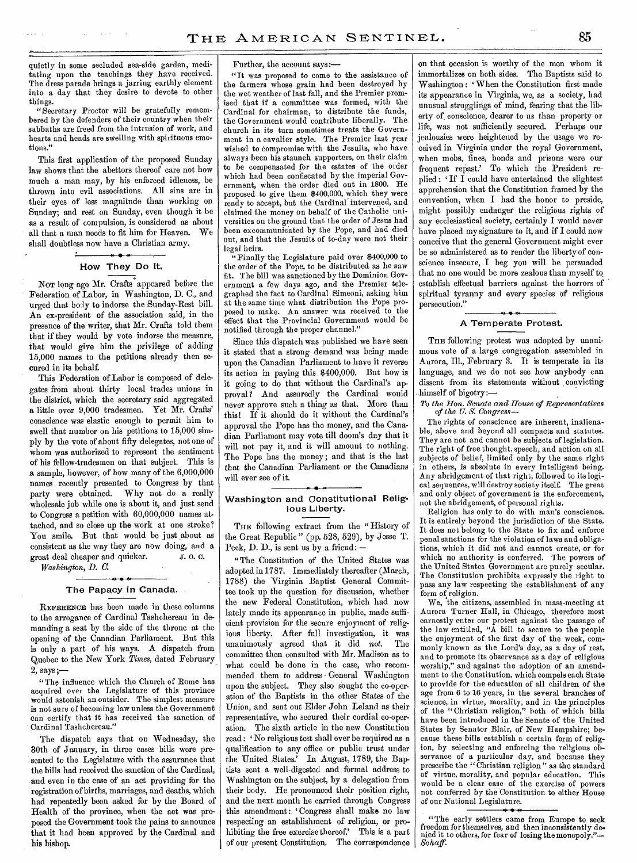quietly in some secluded sea-side garden, meditating upon the teachings they have received. The dress parade brings a jarring earthly element into a day that they desire to devote to other things.

"Secretary Proctor will be gratefully remembered by the defenders of their country when their sabbaths are freed from the intrusion of work, and hearts and heads are swelling with spirituous emotions."

This first application of the proposed Sunday law shows that the abettors thereof care not how much a man may, by his enforced idleness, be thrown into evil associations. All sins are in their eyes of less magnitude than working on Sunday; and rest on Sunday, even though it be as a result of compulsion, is considered as about all that a man needs to fit him for Heaven. shall doubtless now have a Christian army.

# How They Do It.

Nor long ago Mr. Crafts appeared before the Federation of Labor, in Washington, D. C., and urged that body to indorse the Sunday-Rest bill. An ex-president of the association said, in the presence of the writer, that Mr. Crafts told them that if they would by vote indorse the measure, that would give him the privilege of adding 15,000 names to the petitions already then secured in its behalf.

This Federation of Labor is composed of delegates from about thirty local trades unions in the district, which the secretary said aggregated a little over 9,000 tradesmen. Yet Mr. Crafts' conscience was elastic enough to permit him to swell that number on his petitions to 15,000 simply by the vote of about fifty delegates, not one of whom was authorized to represent the sentiment of his fellow-tradesmen on that subject. This is a sample, however, of how many of the 6,000,000 names recently presented to Congress by that party were obtained. Why not do a really wholesale job while one is about it, and just send to Congress a petition with 60,000,000 names attached, and so close up the work at one stroke? You smile. But that would be just about as consistent as the way they are now doing, and a<br>great deal cheaper and quicker. J. O. C. great deal cheaper and quicker.

*Washington, D. C.* 

## **• 4'**  The Papacy in Canada.

REFERENCE has been made in these columns to the arrogance of Cardinal Tashchereau in demanding a seat by the side of the throne at the opening of the Canadian Parliament. But this is only a part of his ways. A dispatch from Quebec to the New York *Times,* dated February 2, says ;—

"The influence which the Church of Rome has acquired over the Legislature of this province would astonish an outsider. The simplest measure is not sure of becoming law unless the Government can certify that it has received the sanction of Cardinal Tashchereau."

The dispatch says that on Wednesday, the 30th of January, in three cases bills were presented to the Legislature with the assurance that the bills had received the sanction of the Cardinal, and even in the case of an act providing for the registration of births, marriages, and deaths, which had repeatedly been asked for by the Board of Health of the province, when the act was proposed the Government took the pains to announce that it had been approved by the Cardinal and his bishop.

Further, the account says:—

"It was proposed to come to the assistance of the farmers whose grain had been destroyed by the wet weather of last fall, and the Premier promised that if a committee was formed, with the Cardinal for chairman, to distribute the funds, the Government would contribute liberally. The church in its turn sometimes treats the Government in a cavalier style. The Premier last year wished to compromise with the Jesuits, who have always been his staunch supporters, on their claim to be compensated for the estates of the order which had been confiscated by the imperial Government, when the order died out in 1800. He proposed to give them \$400,000, which they were ready to accept, but the Cardinal intervened, and claimed the money on behalf of the Catholic universities on the ground that the order of Jesus had been excommunicated by the Pope, and had died out, and that the Jesuits of to-day were not their legal heirs.

"Finally the Legislature paid over \$400,000 to the order of the Pope, to be distributed as he saw fit. The bill was sanctioned by the Dominion Government a few days ago, and the Premier telegraphed the fact to Cardinal Simeoni, asking him at the same time what distribution the Pope proposed to make. An answer was received to the effect that the Provincial Government would be notified through the proper channel."

Since this dispatch was published we have seen it stated that a strong demand was being made upon the Canadian Parliament to have it reverse its action in paying this \$400,000. But how is it going to do that without the Cardinal's approval? And assuredly the Cardinal would never approve such a thing as that. More than this! If it should do it without the Cardinal's approval the Pope has the money, and the Canadian Parliament may vote till doom's day that it will not pay it, and it will amount to nothing. The Pope has the money; and that is the last that the Canadian Parliament or the Canadians will ever see of it.

# Washington and Constitutional Religious Liberty.

THE following extract from the "History of the Great Republic" (pp. 528, 529), by Jesse T. Peck, D. D., is sent us by a friend:—

"The Constitution of the United States was adopted in 1787. Immediately thereafter (March, 1788) the Virginia Baptist General Committee took up the question for discussion, whether the new Federal Constitution, which had now lately made its appearance in public, made sufficient provision for the secure enjoyment of religious liberty. After full investigation, it was unanimously agreed that it did *not.* The committee then consulted with Mr. Madison as to what could be done in the case, who recommended them to address General Washington upon the subject. They also sought the co-oper. ation of the Baptists in the other States of the Union, and sent out Elder John Leland as their representative, who secured their cordial co-operation. The sixth article in the new Constitution read : 'No religious test shall ever be required as a qualification to any office or public trust under the United States.' In August, 1789, the Baptists sent a well-digested and formal address to Washington on the subject, by a delegation from their body. He pronounced their position right, and the next month he carried through Congress this amendment: 'Congress shall make no law respecting an establishment of religion, or prohibiting the free exercise thereof.' This is a part of our present Constitution. The correspondence

on that occasion is worthy of the men whom it immortalizes on both sides. The Baptists said to Washington: ' When the Constitution first made its appearance in Virginia, we, as a society, had unusual strugglings of mind, fearing that the liberty of conscience, dearer to us than property or life, was not sufficiently secured. Perhaps our jealousies were heightened by the usage we received in Virginia under the royal Government, when mobs, fines, bonds and prisons were our frequent repast.' To which the President replied : If I could have entertained the slightest apprehension that the Constitution framed by the convention, when I had the honor to preside, might possibly endanger the religious rights of any ecclesiastical society, certainly I would never have placed my signature to it, and if I could now conceive that the general Government might ever be so administered as to render the liberty of conscience insecure, I beg you will be persuaded that no one would be more zealous than myself to establish effectual barriers against the horrors of spiritual tyranny and every species of religious persecution."

## A Temperate Protest.

THE following protest was adopted by unanimous vote of a large congregation assembled in Aurora, III., February 3. It is temperate in its language, and we do not see how anybody can dissent from its statements without convicting himself of bigotry:-

To *the Hon. Senate and House of Representatives of the U. S. Congress—* 

The rights of conscience are inherent, inalienable, above and beyond all compacts and statutes. They are not and cannot be subjects of legislation. The right of free thought, speech, and action on all subjects of belief, limited only by the same right in others, is absolute in every intelligent being. Any abridgement of that right, followed to its logical sequences, will destroy society itself. The great and only object of government is the enforcement, not the abridgement, of personal rights.

Religion has only to do with man's conscience. It is entirely beyond the jurisdiction of the State. It does not belong to the State to fix and enforce penal sanctions for the violation of laws and obligations, which it did not and cannot create, or for which no authority is conferred. The powers of the United States Government are purely secular. The Constitution prohibits expressly the right to pass any law respecting the establishment of any form of religion.

We, the citizens, assembled in mass-meeting at Aurora Turner Hall, in Chicago, therefore most earnestly enter our protest against the passage of the law entitled, "A bill to secure to the people the enjoyment of the first day of the week, commonly known as the Lord's day, as a day of rest, and to promote its observance as a day of religious worship," and against the adoption of an amendment to the Constitution, which compels each State to provide for the education of all children of the age from 6 to 16 years, in the several branches of science, in virtue, morality, and in the principles of the "Christian religion," both of which bills have been introduced in the Senate of the United States by Senator Blair, of New Hampshire; because these bills establish a certain form of religion, by selecting and enforcing the religious observance of a particular day, and because they prescribe the "Christian religion" as the standard of virtue, morality, and popular education. This would be a clear case of the exercise of powers not conferred by the Constitution to either House of our National Legislature.

"The early settlers came from Europe to seek freedom for themselves, and then inconsistently denied it to others, for fear of losing the monopoly."--- *Schaff.*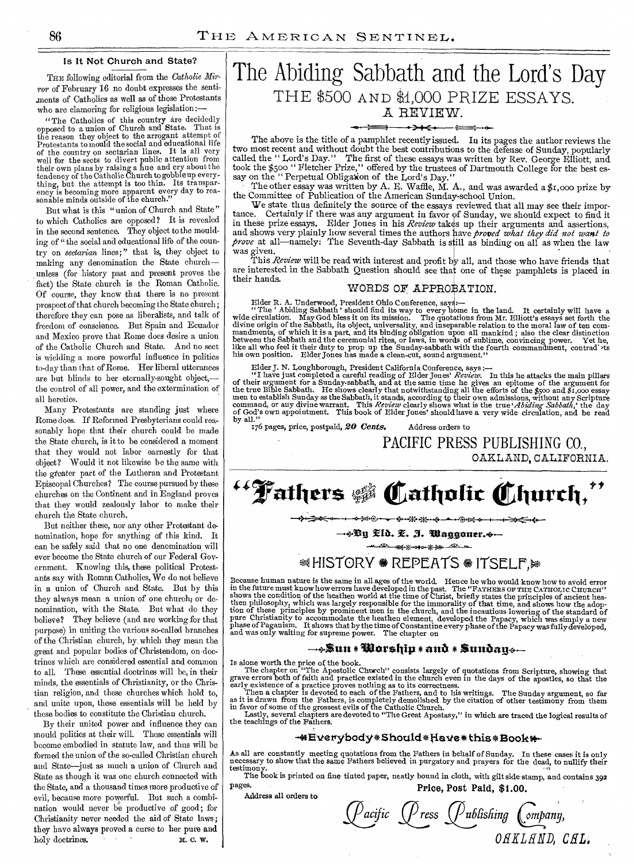# Is It Not Church and State?

THE following editorial from the *Catholic Mirror* of February 16 no doubt expresses the sentiments of Catholics as well as of those Protestants who are clamoring for religious legislation:—

"The Catholics of this country are decidedly opposed to a union of Church and State. That is the reason they object to the arrogant attempt of Protestants to mould the social and educational life of the country on sectarian lines. It is all very well for the sects to divert public attention from their own plans by raising a hue and cry about the tendency of the Catholic Church to gobble up everything, but the attempt is too thin. Its transparency is becoming more apparent every day to reasonable minds outside of the church."

But what is this "union of Church and State" to which Catholics are opposed? It is revealed in the second sentence. They object to the moulding of "the social and educational life of the country on *sectarian* lines;" that is, they object to making any denomination the State church unless (for history past and present proves the fact) the State church is the Roman Catholic. Of course, they know that there is no present prospect of that church becoming the State church ; therefore they can pose as liberalists, and talk of freedom of conscience. But Spain and Ecuador and Mexico prove that Rome does desire a union of the Catholic Church and State. And no sect is wielding a more powerful influence in politics to-day than that of Rome. Her liberal utterances are but blinds to her eternally-sought object, the control of all power, and the extermination of all heretics.

Many Protestants are standing just where Rome does. If Reformed Presbyterians could reasonably hope that their church could be made the State church, is it to be considered a moment that they would not labor earnestly for that object? Would it not likewise be the same with the greater part of the Lutheran and Protestant Episcopal Churches? The course pursued by these churches on the Continent and in England proves that they would zealously labor to make their church the State church.

But neither these, nor any other Protestant denomination, hope for anything of this kind. It can be safely said that no one denomination will ever become the State church of our Federal Government. Knowing this, these political Protestants say with Roman Catholics, We do not believe in a union of Church and State. But by this they always mean a union of one church; or denomination, with the State. But what do they believe? They believe (and are working for that purpose) in uniting the various so-called branches of the Christian church, by which they mean the great and popular bodies of Christendom, on doctrines which are considered essential and common to all. These essential doctrines will be, in their minds, the essentials of Christianity, or the Christian religion, and these churches which hold to, and unite upon, these essentials will be held by these bodies to constitute the Christian church.

By their united power and influence they can mould politics at their will. These essentials will become embodied in statute law, and thus will be formed the union of the so-called Christian church and State—just as much a union of Church and State as though it was one church connected with the State, and a thousand times more productive of evil, because more powerful. But such a combination would never be productive of good; for Christianity never needed the aid of State laws ; they have always proved a curse to her pure and holy doctrines. M. C. W.

# The Abiding Sabbath and the Lord's Day THE 5500 **AND a1,000** PRIZE ESSAYS.  $A$  REVIEW.

# **-**

The above is the title of a pamphlet recently issued. In its pages the author reviews the two most recent and without doubt the best contributions to the defense of Sunday, popularly called the " Lord's Day." The first of these essays was written by Rev. George Elliott, and took the \$500 " Fletcher Prize," offered by the trustees of Dartmouth College for the best essay on the "Perpetual Obligation of the Lord's Day."

The other essay was written by A. E. Waffle, M. A., and was awarded a  $\sharp \tau$ ,000 prize by the Committee of Publication of the American Sunday-school Union.

We state thus definitely the source of the essays reviewed that all may see their importance. Certainly if there was any argument in favor of Sunday, we should expect to find it in these prize essays. Elder Jones in his *Review* takes up their arguments and assertions, and shows very plainly how several times the authors ave *proved what they did not want to prove* at all—namely: The Seventh-day Sabbath is still as binding on all as when the law was given.

This *Review* will be read with interest and profit by all, and those who have friends that are interested in the Sabbath Question should see that one of these pamphlets is placed in their hands.

# WORDS OF APPROBATION.

Elder R. A. Underwood, President Ohio Conference, says:—<br>"The ' Abiding Sabbath ' should find its way to every home in the land. It certainly will have a<br>wide circulation. May God bless it on its mission. The quotations fr divine origin of the Sabbath, its object, universality, and inseparable relation to the moral law of ten com-mandments, of which it is a part, and its binding obligation upon all mankind ; also the clear distinction between the Sabbath and the ceremonial rites, or laws, in words of sublime, convincing power. Yet he, like all who feel it their duty to prop up the Sunday-sabbath with the fourth commandment, contrad >ts<br>his own positi

Elder J. N. Loughborough, President California Conference, says :—<br>
"I have just completed a careful reading of Elder Jones' Review. In this he attacks the main pillars<br>
of their argument for a Sunday-sabbath, and at the

PACIFIC PRESS PUBLISHING CO., OAKLAND, CALIFORNIA.

<sup>44</sup> Fathers \$ Catholic Church,"

**.1 ◆≥●→ →→※※→←→→◎Ⅱ→→→→→←→←** 

—4.53n **Eta. 3. 'iliaggon\*r.+-** 

000 \*\* \*<del>\*</del>

# $\triangleleft$  HISTORY  $\triangleleft$  REPEATS  $\triangleleft$  ITSELF,  $\trianglerightright$

Because human nature is the same in all ages of the world. Hence he who would know how to avoid error<br>in the future must know how verrors have developed in the past. The "FATHERS OF THE CATHOLIC CHURCH"<br>shows the condition pure Christianity to accommodate the heathen element, developed the Papacy, which was simply a new phase of Paganism. It shows that by the time of Constantine every phase of the Papacy was fully developed, and was only wai

# **—4.1ittn\* r orship\*ana \* Sunbag.—**

Is alone worth the price of the book.

The chapter on "The Apostolic Church" consists largely of quotations from Scripture, showing that<br>grave errors both of faith and practice existed in the church even in the days of the apostles, so that the<br>early existence

Lastly, several chapters are devoted to "The Great Apostasy," in which are traced the logical results *of*  the teachings of the Fathers.

## **\*\*Everybody\*Should\*Have\*this\*Book\***

Ass all are constantly meeting quotations from the Fathers in behalf of Sunday. In these cases it is only necessary to show that the same Fathers believed in purgatory and prayers for the dead, to nullify their testimony.

The book is printed on fine tinted paper, neatly bound in cloth, with gilt side stamp, and contains 392 pages. **Price, Post Paid, \$1.00.** 

Address all orders to

Pacific (Press <u>(</u>Publishing (ompany, *0 TILED, CHL.*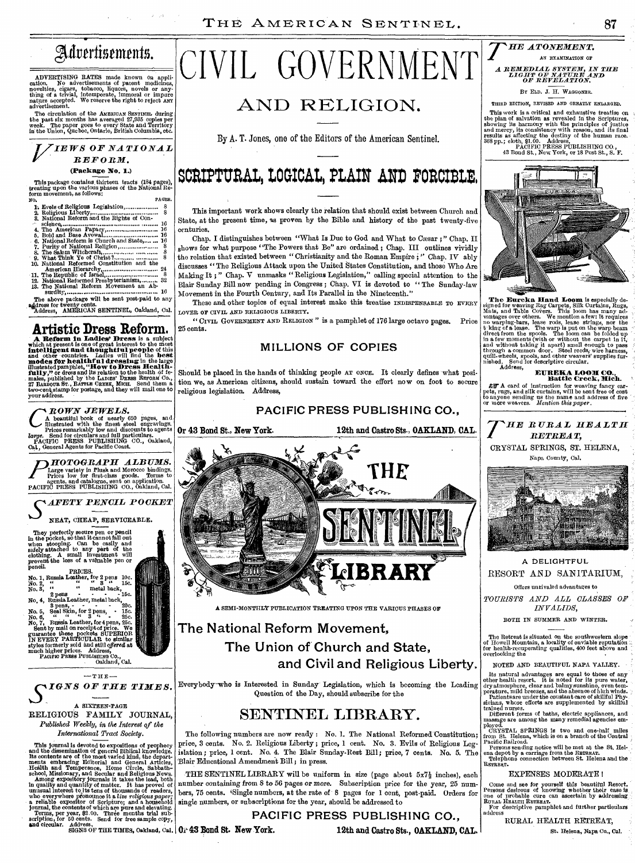

ADVERTISING RATES made known on application. No advertisements of patent medicines, noted in movelties, cigars, tobacco, liquors, novels or anything of a trivial, intemperate, immoral or impure nature accepted. We reserve

The circulation of the AMERICAN SENTINEL during<br>the past six months has averaged 27,935 copies per<br>week. The paper goes to every State and Territory<br>in the Union, Quebec, Ontario, British Columbia, etc.

# *V IEWS OF NATIONAL REFORM.*  **(Package No. 1.)**

This package contains, thirteen, tracts (184 pages), treating upon the various phases of the National Reform movement, as follows:<br>form movement, as follows:<br>No.

| NO. |                                             | PAGES. |
|-----|---------------------------------------------|--------|
|     |                                             |        |
|     |                                             | 8      |
|     | 3. National Reform and the Rights of Con-   |        |
|     |                                             |        |
|     |                                             |        |
|     |                                             |        |
|     | 6. National Reform is Church and State,  16 |        |
|     |                                             |        |
|     |                                             |        |
|     |                                             | 8      |
|     | 10. National Reformed Constitution and the  |        |
|     |                                             |        |
|     |                                             |        |
|     | 12. National Reformed Presbyterianism,  32  |        |
|     | 13. The National Reform Movement an Ab-     |        |
|     |                                             |        |

surdity 16 The above package will be sent post-paid to any aidress for twenty cents. Address, AMERICAN SENTINEL, Oakland, Cal.

**Artistic Dress Reform.**<br>
A Reform in Ladies' Dress is a subject<br>
which at present is one of great interest to the most<br>
intelligent and thoughtful people of this<br>
and other countries. Ladies will find the best<br>
modes for

CROWN JEWELS.<br>CA beautiful book of nearly 650 pages, and<br>ministrated with the finest steel engravings.<br>Photos remarkably low and discounts to agents<br>pacific PRESS. PUBLISHING CO., Oakland,<br>PACIFIC PRESS. PUBLISHING CO., Oa



NEAT, CHEAP, SERVICEABLE.



# RELIGIOUS FAMILY JOURNAL, *Published Weekly, in the Interest of the*

*International Tract Society.* 

This journal is devoted to expositions of prophecy<br>and the dissemination of general Biblical knowledge.<br>Its contents are of the most varied kind, the depart-<br>ments embracing Editorial and General Articles,<br>Health and Temp and circular. Address, THE TIMES, Oakland, Cal. 01-43 Bond St. New York.

# CIVIL GOVERNMENT

# **AND RELIGION.**

By A. T. Jones, one of the Editors of the American Sentinel.

# SCRIPTURAL, LOGICAL, PLAIN AND FORCIBLE.

This important work shows clearly the relation that should exist between Church and State, at the present time, as proven by the Bible and history of the past twenty-five centuries.

Chap. I distinguishes between "What Is Due to God and What to Cesar ; " Chap. II shows for what purpose "The Powers that Be" are ordained; Chap. III outlines vividly the relation that existed between "Christianity and the Roman Empire ; " Chap. IV ably discusses " The Religious Attack upon the United States Constitution, and those Who Are Making It ; " Chap. V unmasks " Religious Legislation," calling special attention to the Blair Sunday Bill now pending in Congress ; Chap. VI is devoted to " The Sunday-law Movement in the Fourth Century, and Its Parallel in the Nineteenth."

These and other topics of equal interest make this treatise INDISPENSABLE TO EVERY LOVER OF CIVIL AND RELIGIOUS LIBERTY.

" CIVIL GOVERNMENT AND RELIGION" is a pamphlet of 176 large octavo pages. Price 25 cents.

# **MILLIONS OF COPIES**

Should be placed in the hands of thinking people AT ONCE. It clearly defines what position we, as American citizens, should sustain toward the effort now on foot to secure religious legislation. Address,

**PACIFIC PRESS PUBLISHING CO.,** 

**Or 43 Bond St., New York. 12th and Castro Sts., OAKLAND, CAL.**  ኔ **THE** 

A SEMI-MONTHLY PUBLICATION TREATING UPON THE VARIOUS PHASES OF

# **The National Reform Movement, The Union of Church and State, and Civil and Religious Liberty.**

Everybody-who is Interested in Sunday Legislation, which is becoming the Leading Question of the Day, should subscribe for the

# **SENTINEL LIBRARY.**

The following numbers are now ready : No. 1. The National Reformed Constitution; price, 3 cents. No. 2. Religious Liberty ; price, 1 cent. No. 3. Evils of Religious Legislation ; price, 1 cent. No. 4. The Blair Sunday-Rest Bill ; price, 7 cents. No. 5. The Blair Educational Amendment Bill ; in press.

THE SENTINEL LIBRARY will be uniform in size (page about  $5x7\frac{1}{2}$  inches), each number containing from 8 to 56 pages or more. Subscription price for the year, 25 numbers, 75 cents. iSingle numbers, at the rate of 8 pages for 1 cent, post-paid. Orders for single numbers, or subscriptions for the year, should be addressed to

> **PACIFIC PRESS PUBLISHING CO.,**  12th and Castro Sts., OAKLAND, CAL.



THIRD EDITION, REVISED AND GREATLY ENLARGED. This work is a critical and exhaustive treatise on<br>the plan of salvation as revealed in the Scriptures,<br>showing its harmony with the principles of justice<br>and mercy, its consistency with reason, and its final<br>results as af



# 4.

The Eureka Hand Loom is especially designed for weaving Rag Carpets, Silk Curtains, Rugs, Mats, and Table Govers. This loom has many advantages over others. We mention a few: It requires an ovarying-bars, lease roots, leas

**EUREKA L0011 CO., Rattle Creek, Rich.** 

AM A card of instruction for weaving fancy carries, rugs, and silk curtains, will be sent free of cost to anyone sending us the name and address of five or more weavers. *Mention this paper*.



# **A DELIGHTFUL**  RESORT AND SANITARIUM,

Offers unrivaled advantages to

*TOURISTS AND ALL CLASSES OP INVALIDS,* 

BOTH IN SUMMER AND WINTER.

The Retreat is situated on the southwestern slope of Howell Mountain, a locality of enviable reputation for health-recuperating qualities, 400 feet above and overlooking the

NOTED AND BEAUTIFUL NAPA VALLEY.

Its natural advantages are equal to those of any<br>other health resort. It is noted for its pure water,<br>dry atmosphere, clear and balmy sunshine, even tem-<br>praxime, mild breezes, and the absence of high winds.<br>Patients are u

CRYSTAL SPRINGS is two and one-half miles<br>from St. Helena, which is on a branch of the Central<br>Pacific Railroad.<br>Pacific Railroad.<br>Persons sending notice will be met at the St. Hel-<br>ena depot by a carriage from the Reveau RETREAT.

## EXPENSES MODERATE !

Come and see for yourself this beautiful Resort.<br>Persons desirous of knowing whether their case is<br>Dure of probable cure can ascertain by addressing<br>RURAL HEALTH RETREAT.<br>For descriptive pamphlet and further particulars address

RURAL HEALTH RETREAT,

St. Helena, Napa Co., Cal.